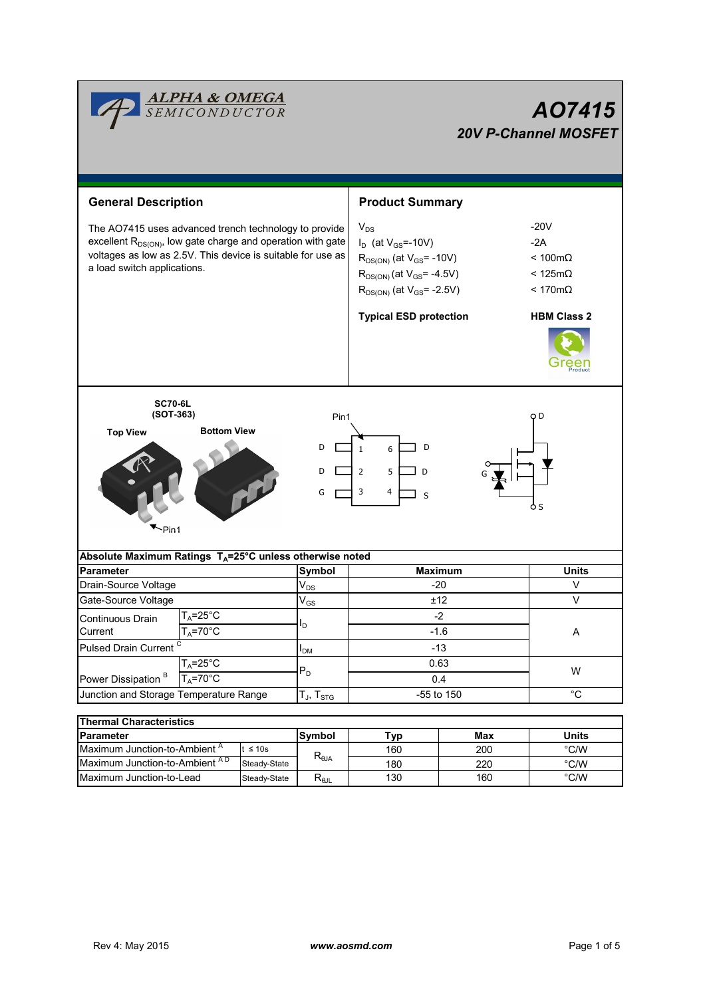|                                                                                                                                                                                                                         | ALPHA & OMEGA<br><i>SEMICONDUCTOR</i>                                |                                                                                                                                                                                           |                                                                   |                                                                                                              | A07415<br><b>20V P-Channel MOSFET</b> |  |  |
|-------------------------------------------------------------------------------------------------------------------------------------------------------------------------------------------------------------------------|----------------------------------------------------------------------|-------------------------------------------------------------------------------------------------------------------------------------------------------------------------------------------|-------------------------------------------------------------------|--------------------------------------------------------------------------------------------------------------|---------------------------------------|--|--|
| <b>General Description</b>                                                                                                                                                                                              |                                                                      |                                                                                                                                                                                           | <b>Product Summary</b>                                            |                                                                                                              |                                       |  |  |
| The AO7415 uses advanced trench technology to provide<br>excellent $R_{DS(ON)}$ , low gate charge and operation with gate<br>voltages as low as 2.5V. This device is suitable for use as<br>a load switch applications. |                                                                      | $V_{DS}$<br>$I_D$ (at $V_{GS} = -10V$ )<br>$R_{DS(ON)}$ (at $V_{GS}$ = -10V)<br>$R_{DS(ON)}$ (at $V_{GS}$ = -4.5V)<br>$R_{DS(ON)}$ (at $V_{GS}$ = -2.5V)<br><b>Typical ESD protection</b> |                                                                   | $-20V$<br>$-2A$<br>$< 100 \text{m}\Omega$<br>< 125m $\Omega$<br>$< 170 \text{m}\Omega$<br><b>HBM Class 2</b> |                                       |  |  |
|                                                                                                                                                                                                                         |                                                                      |                                                                                                                                                                                           |                                                                   |                                                                                                              |                                       |  |  |
| <b>SC70-6L</b><br>(SOT-363)                                                                                                                                                                                             |                                                                      | Pin1                                                                                                                                                                                      |                                                                   |                                                                                                              | o D                                   |  |  |
| <b>Top View</b><br>~Pin1                                                                                                                                                                                                | <b>Bottom View</b>                                                   | D<br>D<br>G                                                                                                                                                                               | D<br>$\mathbf{1}$<br>6<br>$\overline{2}$<br>5<br>D<br>3<br>4<br>S |                                                                                                              | o s                                   |  |  |
|                                                                                                                                                                                                                         | Absolute Maximum Ratings T <sub>A</sub> =25°C unless otherwise noted |                                                                                                                                                                                           |                                                                   |                                                                                                              |                                       |  |  |
| Parameter                                                                                                                                                                                                               |                                                                      | Symbol<br>$\mathsf{V}_{\mathsf{DS}}$                                                                                                                                                      |                                                                   | <b>Maximum</b>                                                                                               | <b>Units</b>                          |  |  |
|                                                                                                                                                                                                                         | Drain-Source Voltage                                                 |                                                                                                                                                                                           | $-20$                                                             |                                                                                                              | V<br>$\vee$                           |  |  |
|                                                                                                                                                                                                                         | Gate-Source Voltage                                                  |                                                                                                                                                                                           | ±12<br>$-2$                                                       |                                                                                                              |                                       |  |  |
| Continuous Drain<br>Current                                                                                                                                                                                             | $T_A = 25^\circ C$<br>$T_A = 70$ °C                                  | $\mathsf{I}_\mathsf{D}$                                                                                                                                                                   | $-1.6$                                                            |                                                                                                              | A                                     |  |  |
| Pulsed Drain Current <sup>C</sup>                                                                                                                                                                                       |                                                                      | $I_{DM}$                                                                                                                                                                                  | $-13$                                                             |                                                                                                              |                                       |  |  |
| $T_A = 25^\circ \overline{C}$                                                                                                                                                                                           |                                                                      |                                                                                                                                                                                           | 0.63                                                              |                                                                                                              |                                       |  |  |
| Power Dissipation <sup>B</sup>                                                                                                                                                                                          | $P_D$<br>$T_A = 70$ °C                                               |                                                                                                                                                                                           | 0.4                                                               |                                                                                                              | W                                     |  |  |
| Junction and Storage Temperature Range                                                                                                                                                                                  |                                                                      | $T_J$ , $T_{STG}$                                                                                                                                                                         | -55 to 150                                                        |                                                                                                              | $^{\circ}C$                           |  |  |
|                                                                                                                                                                                                                         |                                                                      |                                                                                                                                                                                           |                                                                   |                                                                                                              |                                       |  |  |
| <b>Thermal Characteristics</b><br>Parameter                                                                                                                                                                             |                                                                      | <b>Symbol</b>                                                                                                                                                                             | <b>Typ</b>                                                        | Max                                                                                                          | <b>Units</b>                          |  |  |
|                                                                                                                                                                                                                         |                                                                      |                                                                                                                                                                                           |                                                                   |                                                                                                              |                                       |  |  |

| THEITIM OHMACLEFISHUS                    |              |                                              |     |              |               |  |  |  |
|------------------------------------------|--------------|----------------------------------------------|-----|--------------|---------------|--|--|--|
| <b>IParameter</b>                        | Symbol       | ™vp                                          | Max | <b>Units</b> |               |  |  |  |
| Maximum Junction-to-Ambient <sup>A</sup> | ≤ 10s        | $R_{\theta$ JA                               | 160 | 200          | $\degree$ C/W |  |  |  |
| Maximum Junction-to-Ambient AD           | Steady-State |                                              | 180 | 220          | $\degree$ C/W |  |  |  |
| Maximum Junction-to-Lead                 | Steady-State | $\mathsf{R}_{\scriptstyle\theta\mathsf{JL}}$ | 130 | 160          | $\degree$ C/W |  |  |  |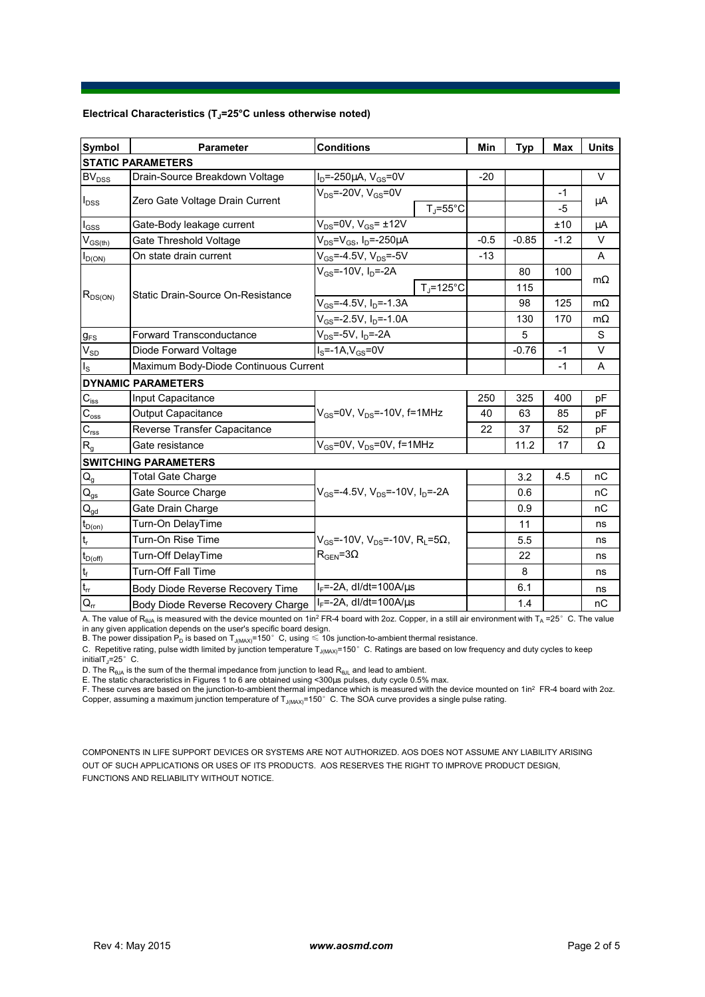## **Electrical Characteristics (TJ=25°C unless otherwise noted)**

| <b>Symbol</b>                    | <b>Parameter</b>                      | <b>Conditions</b>                                            |        | <b>Typ</b> | Max    | <b>Units</b> |  |  |  |
|----------------------------------|---------------------------------------|--------------------------------------------------------------|--------|------------|--------|--------------|--|--|--|
| <b>STATIC PARAMETERS</b>         |                                       |                                                              |        |            |        |              |  |  |  |
| BV <sub>DSS</sub>                | Drain-Source Breakdown Voltage        | $I_D = -250 \mu A$ , $V_{GS} = 0V$                           | $-20$  |            |        | $\vee$       |  |  |  |
| $I_{DSS}$                        | Zero Gate Voltage Drain Current       | $V_{DS}$ =-20V, $V_{GS}$ =0V                                 |        |            | $-1$   |              |  |  |  |
|                                  |                                       | $T_i = 55^{\circ}C$                                          |        |            | $-5$   | μA           |  |  |  |
| $I_{GSS}$                        | Gate-Body leakage current             | $V_{DS}$ =0V, $V_{GS}$ = ±12V                                |        |            | ±10    | μA           |  |  |  |
| $V_{GS(th)}$                     | Gate Threshold Voltage                | $V_{DS} = V_{GS}$ , $I_D = -250 \mu A$                       | $-0.5$ | $-0.85$    | $-1.2$ | $\vee$       |  |  |  |
| $I_{D(ON)}$                      | On state drain current                | $V_{GS}$ =-4.5V, $V_{DS}$ =-5V                               | $-13$  |            |        | A            |  |  |  |
| $R_{DS(ON)}$                     | Static Drain-Source On-Resistance     | $V_{GS}$ =-10V, $I_D$ =-2A                                   |        | 80         | 100    |              |  |  |  |
|                                  |                                       | $T_{\rm J}$ =125°C                                           |        | 115        |        | $m\Omega$    |  |  |  |
|                                  |                                       | $V_{GS} = -4.5V$ , $I_D = -1.3A$                             |        | 98         | 125    | $m\Omega$    |  |  |  |
|                                  |                                       | $V_{GS}$ =-2.5V, $I_D$ =-1.0A                                |        | 130        | 170    | $m\Omega$    |  |  |  |
| $g_{FS}$                         | <b>Forward Transconductance</b>       | $V_{DS}$ =-5V, $I_D$ =-2A                                    |        | 5          |        | S            |  |  |  |
| $V_{SD}$                         | Diode Forward Voltage                 | $IS=-1A, VGS=0V$                                             |        | $-0.76$    | $-1$   | V            |  |  |  |
| $I_{\rm S}$                      | Maximum Body-Diode Continuous Current |                                                              |        | $-1$       | A      |              |  |  |  |
|                                  | <b>DYNAMIC PARAMETERS</b>             |                                                              |        |            |        |              |  |  |  |
| $C_{\text{iss}}$                 | Input Capacitance                     |                                                              | 250    | 325        | 400    | pF           |  |  |  |
| $\overline{C_{\underline{oss}}}$ | Output Capacitance                    | $V_{GS}$ =0V, $V_{DS}$ =-10V, f=1MHz                         | 40     | 63         | 85     | pF           |  |  |  |
| $\mathbf{C}_{\text{rss}}$        | Reverse Transfer Capacitance          |                                                              | 22     | 37         | 52     | рF           |  |  |  |
| $R_{g}$                          | Gate resistance                       | $V_{GS}$ =0V, $V_{DS}$ =0V, f=1MHz                           |        | 11.2       | 17     | Ω            |  |  |  |
|                                  | <b>SWITCHING PARAMETERS</b>           |                                                              |        |            |        |              |  |  |  |
| $\mathsf{Q}_{\mathsf{g}}$        | <b>Total Gate Charge</b>              |                                                              |        | 3.2        | 4.5    | nC           |  |  |  |
| $\mathsf{Q}_{\text{gs}}$         | Gate Source Charge                    | $V_{GS}$ =-4.5V, $V_{DS}$ =-10V, $I_D$ =-2A                  |        | 0.6        |        | пC           |  |  |  |
| $\mathbf{Q}_{\text{gd}}$         | Gate Drain Charge                     |                                                              |        | 0.9        |        | nC           |  |  |  |
| $t_{D(0n)}$                      | Turn-On DelayTime                     |                                                              |        | 11         |        | ns           |  |  |  |
| $\mathsf{t}_{\sf r}$             | Turn-On Rise Time                     | $V_{GS}$ =-10V, $V_{DS}$ =-10V, R <sub>L</sub> =5 $\Omega$ , |        | 5.5        |        | ns           |  |  |  |
| $t_{D(\text{off})}$              | Turn-Off DelayTime                    | $R_{\text{GEN}} = 3\Omega$                                   |        | 22         |        | ns           |  |  |  |
| $\mathsf{t}_{\mathsf{f}}$        | <b>Turn-Off Fall Time</b>             |                                                              |        | 8          |        | ns           |  |  |  |
| $\mathfrak{t}_{\text{rr}}$       | Body Diode Reverse Recovery Time      | $I_F$ =-2A, dl/dt=100A/ $\mu$ s                              |        | 6.1        |        | ns           |  |  |  |
| $Q_{rr}$                         | Body Diode Reverse Recovery Charge    | $I_F$ =-2A, dl/dt=100A/ $\mu$ s                              |        | 1.4        |        | nC           |  |  |  |

A. The value of R<sub>θJA</sub> is measured with the device mounted on 1in<sup>2</sup> FR-4 board with 2oz. Copper, in a still air environment with T<sub>A</sub> =25°C. The value<br>in any given application depends on the user's specific board design.

B. The power dissipation  $\mathsf{P}_{\mathsf{D}}$  is based on T $_{\mathsf{J}( \mathsf{MAX})}$ =150 $^\circ\,$  C, using  $\leqslant$  10s junction-to-ambient thermal resistance.

C. Repetitive rating, pulse width limited by junction temperature  $T_{J(MAX)}$ =150°C. Ratings are based on low frequency and duty cycles to keep  $initialT_1=25^\circ$  C.

D. The  $R_{\theta_{\text{old}}}$  is the sum of the thermal impedance from junction to lead  $R_{\theta_{\text{old}}}$  and lead to ambient.

E. The static characteristics in Figures 1 to 6 are obtained using <300μs pulses, duty cycle 0.5% max.<br>F. These curves are based on the junction-to-ambient thermal impedance which is measured with the device mounted on 1i

Copper, assuming a maximum junction temperature of  $T_{J(MAX)}$ =150°C. The SOA curve provides a single pulse rating.

COMPONENTS IN LIFE SUPPORT DEVICES OR SYSTEMS ARE NOT AUTHORIZED. AOS DOES NOT ASSUME ANY LIABILITY ARISING OUT OF SUCH APPLICATIONS OR USES OF ITS PRODUCTS. AOS RESERVES THE RIGHT TO IMPROVE PRODUCT DESIGN, FUNCTIONS AND RELIABILITY WITHOUT NOTICE.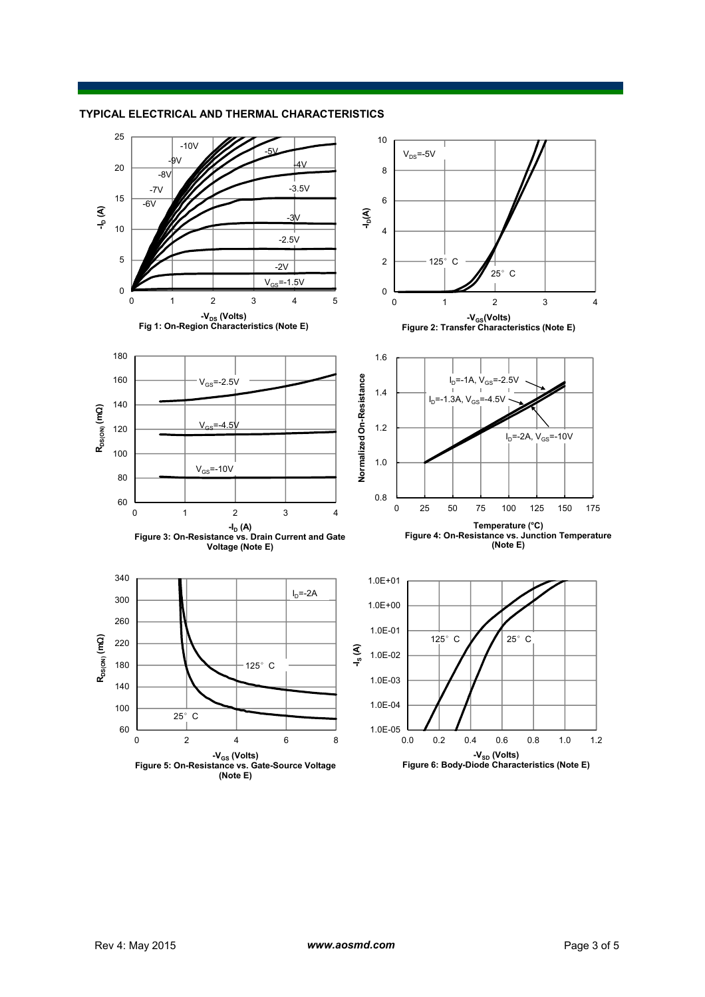## **TYPICAL ELECTRICAL AND THERMAL CHARACTERISTICS**

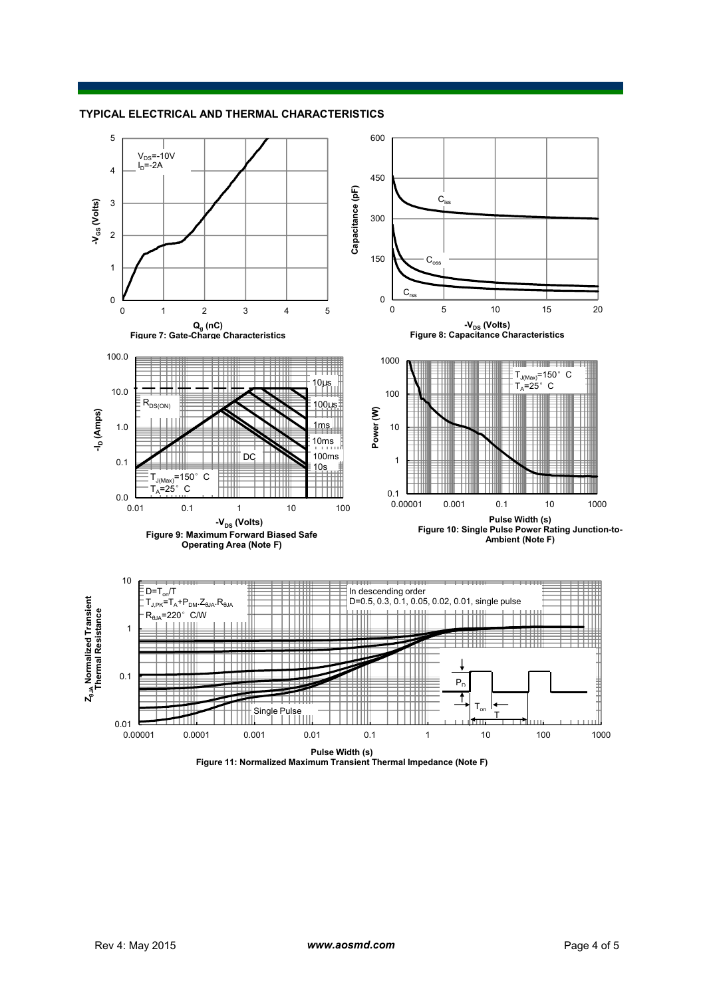## **TYPICAL ELECTRICAL AND THERMAL CHARACTERISTICS**